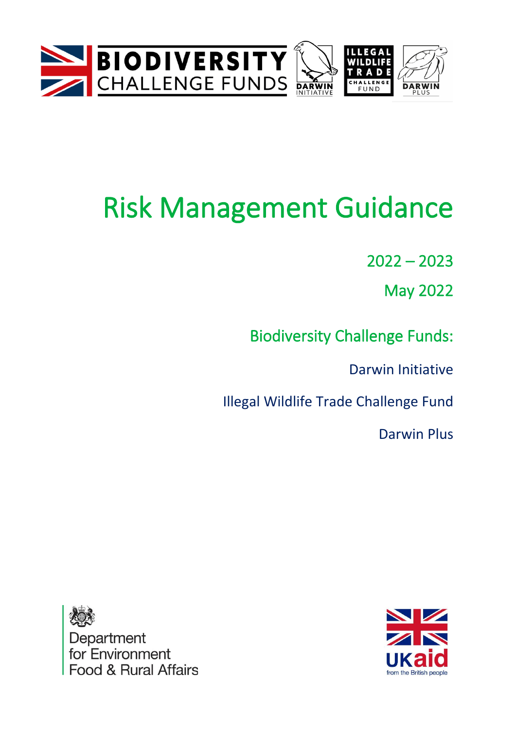



# Risk Management Guidance

 $2022 - 2023$ 

May 2022

Biodiversity Challenge Funds:

Darwin Initiative

Illegal Wildlife Trade Challenge Fund

Darwin Plus



Department for Environment Food & Rural Affairs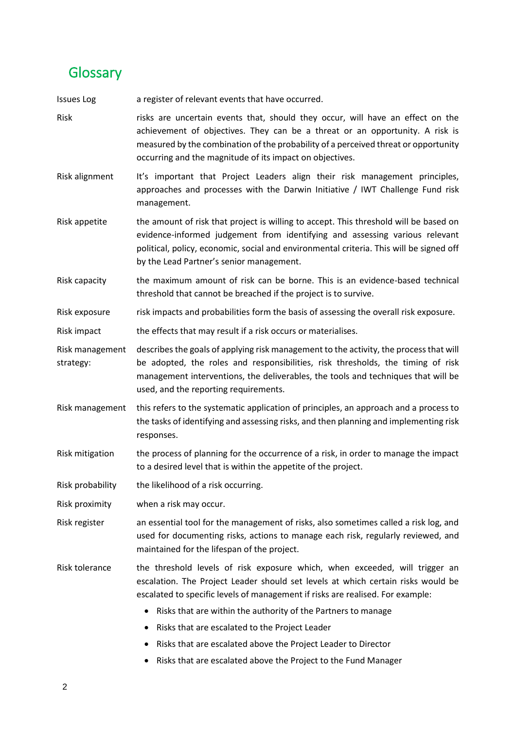## <span id="page-1-0"></span>**Glossary**

Issues Log a register of relevant events that have occurred.

- Risk risks are uncertain events that, should they occur, will have an effect on the achievement of objectives. They can be a threat or an opportunity. A risk is measured by the combination of the probability of a perceived threat or opportunity occurring and the magnitude of its impact on objectives.
- Risk alignment It's important that Project Leaders align their risk management principles, approaches and processes with the Darwin Initiative / IWT Challenge Fund risk management.
- Risk appetite the amount of risk that project is willing to accept. This threshold will be based on evidence-informed judgement from identifying and assessing various relevant political, policy, economic, social and environmental criteria. This will be signed off by the Lead Partner's senior management.
- Risk capacity the maximum amount of risk can be borne. This is an evidence-based technical threshold that cannot be breached if the project is to survive.
- Risk exposure risk impacts and probabilities form the basis of assessing the overall risk exposure.
- Risk impact the effects that may result if a risk occurs or materialises.
- Risk management strategy: describes the goals of applying risk management to the activity, the process that will be adopted, the roles and responsibilities, risk thresholds, the timing of risk management interventions, the deliverables, the tools and techniques that will be used, and the reporting requirements.
- Risk management this refers to the systematic application of principles, an approach and a process to the tasks of identifying and assessing risks, and then planning and implementing risk responses.
- Risk mitigation the process of planning for the occurrence of a risk, in order to manage the impact to a desired level that is within the appetite of the project.
- Risk probability the likelihood of a risk occurring.
- Risk proximity when a risk may occur.
- Risk register an essential tool for the management of risks, also sometimes called a risk log, and used for documenting risks, actions to manage each risk, regularly reviewed, and maintained for the lifespan of the project.

Risk tolerance the threshold levels of risk exposure which, when exceeded, will trigger an escalation. The Project Leader should set levels at which certain risks would be escalated to specific levels of management if risks are realised. For example:

- Risks that are within the authority of the Partners to manage
- Risks that are escalated to the Project Leader
- Risks that are escalated above the Project Leader to Director
- Risks that are escalated above the Project to the Fund Manager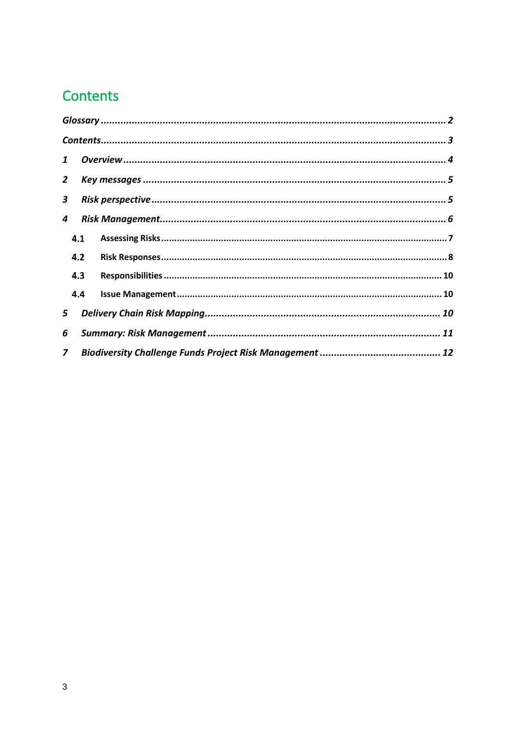# <span id="page-2-0"></span>Contents

| 1              |                |  |  |
|----------------|----------------|--|--|
| $\overline{2}$ |                |  |  |
| 3              |                |  |  |
| 4              |                |  |  |
|                | 4.1            |  |  |
|                | 4.2            |  |  |
|                | 4.3            |  |  |
|                | 4.4            |  |  |
| 5              |                |  |  |
| 6              |                |  |  |
|                | $\overline{z}$ |  |  |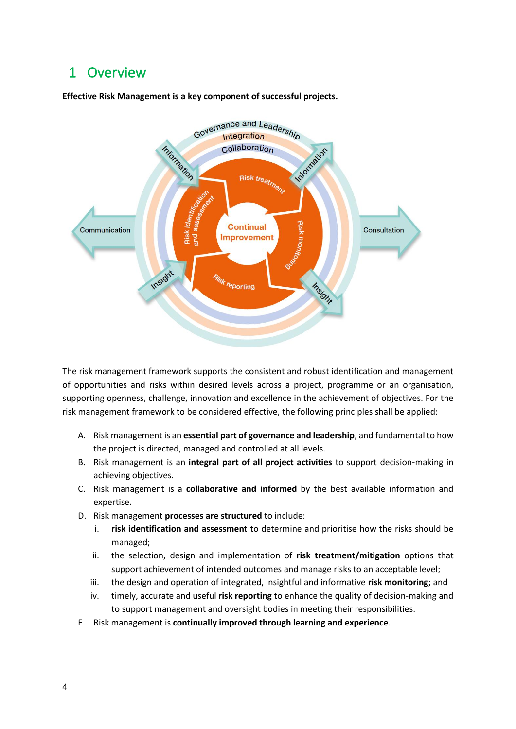## <span id="page-3-0"></span>1 Overview





The risk management framework supports the consistent and robust identification and management of opportunities and risks within desired levels across a project, programme or an organisation, supporting openness, challenge, innovation and excellence in the achievement of objectives. For the risk management framework to be considered effective, the following principles shall be applied:

- A. Risk management is an **essential part of governance and leadership**, and fundamental to how the project is directed, managed and controlled at all levels.
- B. Risk management is an **integral part of all project activities** to support decision‑making in achieving objectives.
- C. Risk management is a **collaborative and informed** by the best available information and expertise.
- D. Risk management **processes are structured** to include:
	- i. **risk identification and assessment** to determine and prioritise how the risks should be managed;
	- ii. the selection, design and implementation of **risk treatment/mitigation** options that support achievement of intended outcomes and manage risks to an acceptable level;
	- iii. the design and operation of integrated, insightful and informative **risk monitoring**; and
	- iv. timely, accurate and useful **risk reporting** to enhance the quality of decision-making and to support management and oversight bodies in meeting their responsibilities.
- E. Risk management is **continually improved through learning and experience**.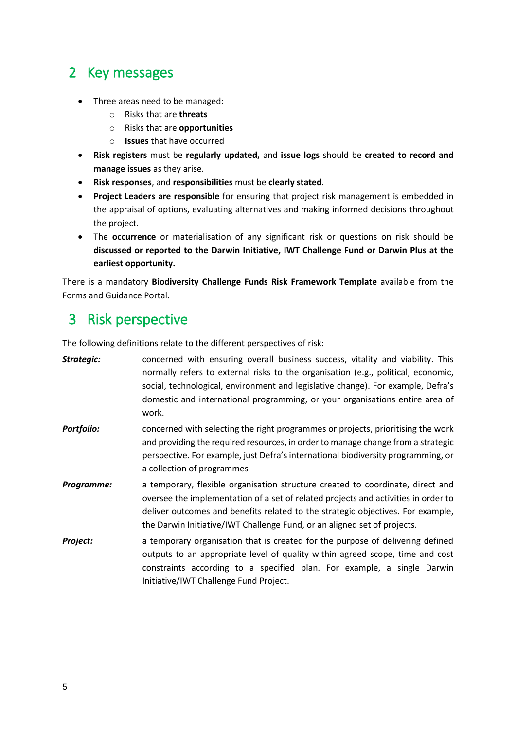## <span id="page-4-0"></span>2 Key messages

- Three areas need to be managed:
	- o Risks that are **threats**
	- o Risks that are **opportunities**
	- o **Issues** that have occurred
- **Risk registers** must be **regularly updated,** and **issue logs** should be **created to record and manage issues** as they arise.
- **Risk responses**, and **responsibilities** must be **clearly stated**.
- **Project Leaders are responsible** for ensuring that project risk management is embedded in the appraisal of options, evaluating alternatives and making informed decisions throughout the project.
- The **occurrence** or materialisation of any significant risk or questions on risk should be **discussed or reported to the Darwin Initiative, IWT Challenge Fund or Darwin Plus at the earliest opportunity.**

There is a mandatory **Biodiversity Challenge Funds Risk Framework Template** available from the Forms and Guidance Portal.

## <span id="page-4-1"></span>3 Risk perspective

The following definitions relate to the different perspectives of risk:

| Strategic:        | concerned with ensuring overall business success, vitality and viability. This<br>normally refers to external risks to the organisation (e.g., political, economic,<br>social, technological, environment and legislative change). For example, Defra's<br>domestic and international programming, or your organisations entire area of<br>work. |
|-------------------|--------------------------------------------------------------------------------------------------------------------------------------------------------------------------------------------------------------------------------------------------------------------------------------------------------------------------------------------------|
| <b>Portfolio:</b> | concerned with selecting the right programmes or projects, prioritising the work<br>and providing the required resources, in order to manage change from a strategic<br>perspective. For example, just Defra's international biodiversity programming, or<br>a collection of programmes                                                          |
| Programme:        | a temporary, flexible organisation structure created to coordinate, direct and<br>oversee the implementation of a set of related projects and activities in order to<br>deliver outcomes and benefits related to the strategic objectives. For example,<br>the Darwin Initiative/IWT Challenge Fund, or an aligned set of projects.              |
| Project:          | a temporary organisation that is created for the purpose of delivering defined<br>outputs to an appropriate level of quality within agreed scope, time and cost<br>constraints according to a specified plan. For example, a single Darwin<br>Initiative/IWT Challenge Fund Project.                                                             |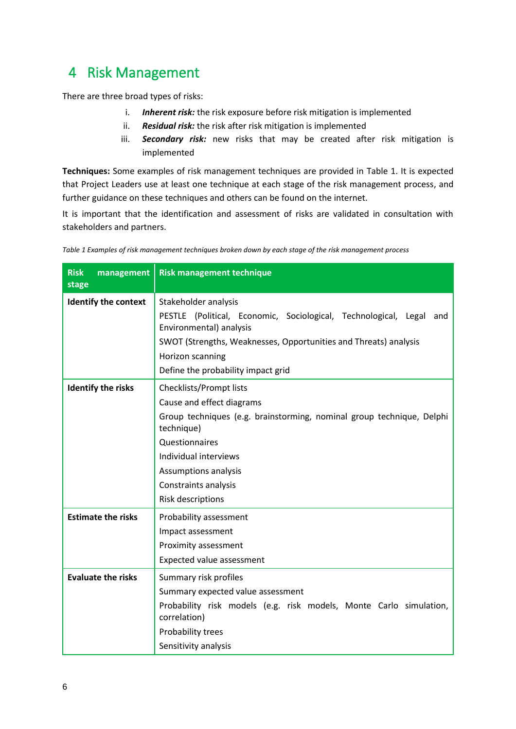# <span id="page-5-0"></span>4 Risk Management

There are three broad types of risks:

- i. *Inherent risk:* the risk exposure before risk mitigation is implemented
- ii. *Residual risk:* the risk after risk mitigation is implemented
- iii. *Secondary risk:* new risks that may be created after risk mitigation is implemented

**Techniques:** Some examples of risk management techniques are provided in [Table 1.](#page-5-1) It is expected that Project Leaders use at least one technique at each stage of the risk management process, and further guidance on these techniques and others can be found on the internet.

It is important that the identification and assessment of risks are validated in consultation with stakeholders and partners.

| <b>Risk</b><br>management<br>stage | <b>Risk management technique</b>                                                                                                                                                                                                                            |
|------------------------------------|-------------------------------------------------------------------------------------------------------------------------------------------------------------------------------------------------------------------------------------------------------------|
| <b>Identify the context</b>        | Stakeholder analysis<br>PESTLE (Political, Economic, Sociological, Technological, Legal and<br>Environmental) analysis<br>SWOT (Strengths, Weaknesses, Opportunities and Threats) analysis<br>Horizon scanning<br>Define the probability impact grid        |
| <b>Identify the risks</b>          | Checklists/Prompt lists<br>Cause and effect diagrams<br>Group techniques (e.g. brainstorming, nominal group technique, Delphi<br>technique)<br>Questionnaires<br>Individual interviews<br>Assumptions analysis<br>Constraints analysis<br>Risk descriptions |
| <b>Estimate the risks</b>          | Probability assessment<br>Impact assessment<br>Proximity assessment<br>Expected value assessment                                                                                                                                                            |
| <b>Evaluate the risks</b>          | Summary risk profiles<br>Summary expected value assessment<br>Probability risk models (e.g. risk models, Monte Carlo simulation,<br>correlation)<br>Probability trees<br>Sensitivity analysis                                                               |

<span id="page-5-1"></span>*Table 1 Examples of risk management techniques broken down by each stage of the risk management process*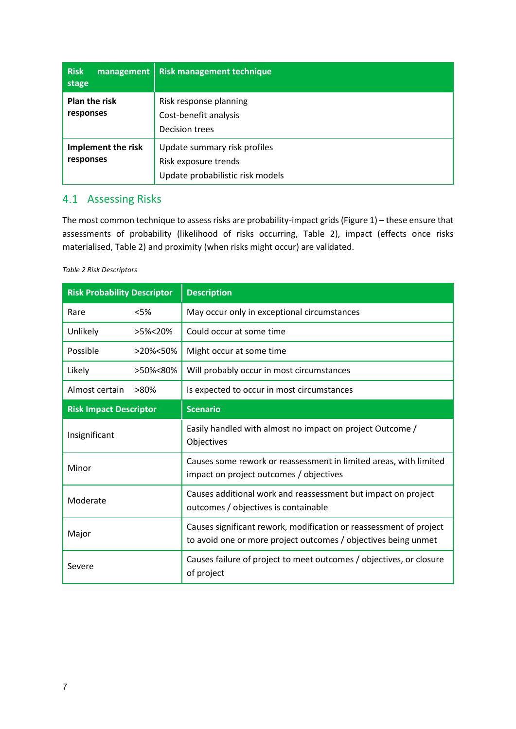| <b>Risk</b><br>management<br>stage | <b>Risk management technique</b>                                                         |
|------------------------------------|------------------------------------------------------------------------------------------|
| <b>Plan the risk</b><br>responses  | Risk response planning<br>Cost-benefit analysis<br><b>Decision trees</b>                 |
| Implement the risk<br>responses    | Update summary risk profiles<br>Risk exposure trends<br>Update probabilistic risk models |

### <span id="page-6-0"></span>4.1 Assessing Risks

The most common technique to assess risks are probability-impact grids (Figure 1) – these ensure that assessments of probability (likelihood of risks occurring, [Table 2\)](#page-6-1), impact (effects once risks materialised[, Table 2\)](#page-6-1) and proximity (when risks might occur) are validated.

#### <span id="page-6-1"></span>*Table 2 Risk Descriptors*

| <b>Risk Probability Descriptor</b> |          | <b>Description</b>                                                                                                                   |
|------------------------------------|----------|--------------------------------------------------------------------------------------------------------------------------------------|
| Rare                               | < 5%     | May occur only in exceptional circumstances                                                                                          |
| Unlikely                           | >5%<20%  | Could occur at some time                                                                                                             |
| Possible                           | >20%<50% | Might occur at some time                                                                                                             |
| Likely                             | >50%<80% | Will probably occur in most circumstances                                                                                            |
| Almost certain                     | >80%     | Is expected to occur in most circumstances                                                                                           |
| <b>Risk Impact Descriptor</b>      |          | <b>Scenario</b>                                                                                                                      |
| Insignificant                      |          | Easily handled with almost no impact on project Outcome /<br>Objectives                                                              |
| Minor                              |          | Causes some rework or reassessment in limited areas, with limited<br>impact on project outcomes / objectives                         |
| Moderate                           |          | Causes additional work and reassessment but impact on project<br>outcomes / objectives is containable                                |
| Major                              |          | Causes significant rework, modification or reassessment of project<br>to avoid one or more project outcomes / objectives being unmet |
| Severe                             |          | Causes failure of project to meet outcomes / objectives, or closure<br>of project                                                    |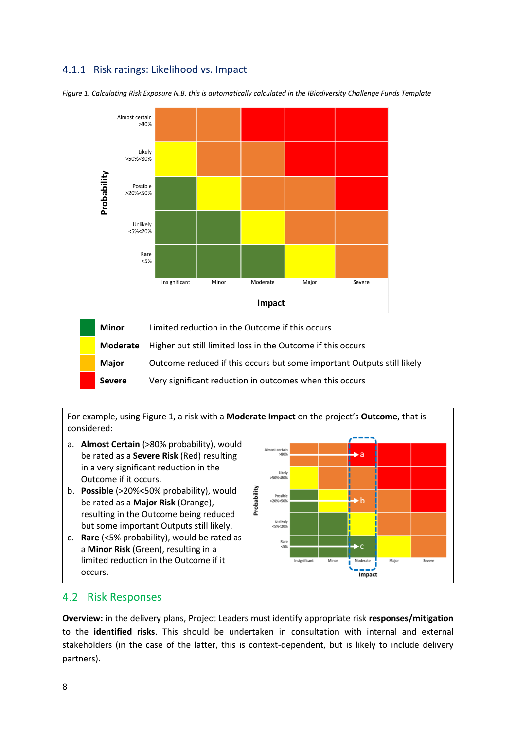### 4.1.1 Risk ratings: Likelihood vs. Impact



<span id="page-7-1"></span>*Figure 1. Calculating Risk Exposure N.B. this is automatically calculated in the IBiodiversity Challenge Funds Template*



For example, using [Figure 1,](#page-7-1) a risk with a **Moderate Impact** on the project's **Outcome**, that is considered:

- a. **Almost Certain** (>80% probability), would be rated as a **Severe Risk** (Red) resulting in a very significant reduction in the Outcome if it occurs.
- b. **Possible** (>20%<50% probability), would be rated as a **Major Risk** (Orange), resulting in the Outcome being reduced but some important Outputs still likely.
- c. **Rare** (<5% probability), would be rated as a **Minor Risk** (Green), resulting in a limited reduction in the Outcome if it occurs.



#### <span id="page-7-0"></span>4.2 Risk Responses

**Overview:** in the delivery plans, Project Leaders must identify appropriate risk **responses/mitigation** to the **identified risks**. This should be undertaken in consultation with internal and external stakeholders (in the case of the latter, this is context-dependent, but is likely to include delivery partners).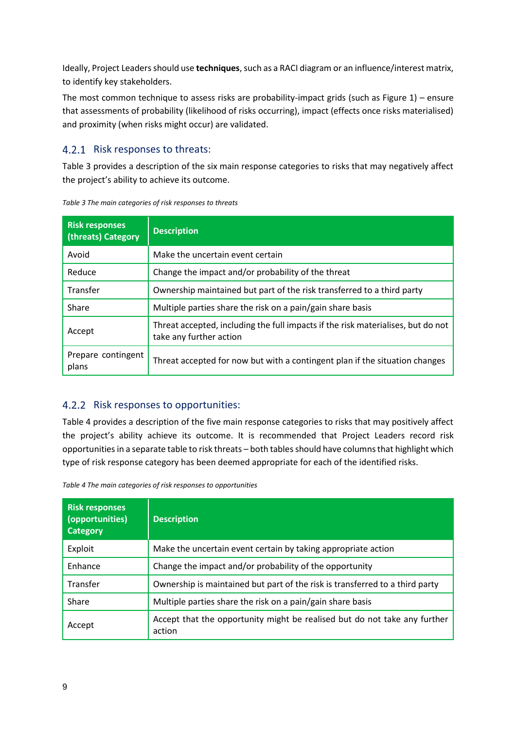Ideally, Project Leaders should use **techniques**, such as a RACI diagram or an influence/interest matrix, to identify key stakeholders.

The most common technique to assess risks are probability-impact grids (such as [Figure 1\)](#page-7-1) – ensure that assessments of probability (likelihood of risks occurring), impact (effects once risks materialised) and proximity (when risks might occur) are validated.

#### 4.2.1 Risk responses to threats:

[Table 3](#page-8-0) provides a description of the six main response categories to risks that may negatively affect the project's ability to achieve its outcome.

| <b>Risk responses</b><br>(threats) Category | <b>Description</b>                                                                                          |
|---------------------------------------------|-------------------------------------------------------------------------------------------------------------|
| Avoid                                       | Make the uncertain event certain                                                                            |
| Reduce                                      | Change the impact and/or probability of the threat                                                          |
| Transfer                                    | Ownership maintained but part of the risk transferred to a third party                                      |
| Share                                       | Multiple parties share the risk on a pain/gain share basis                                                  |
| Accept                                      | Threat accepted, including the full impacts if the risk materialises, but do not<br>take any further action |
| Prepare contingent<br>plans                 | Threat accepted for now but with a contingent plan if the situation changes                                 |

<span id="page-8-0"></span>*Table 3 The main categories of risk responses to threats*

#### 4.2.2 Risk responses to opportunities:

[Table 4](#page-8-1) provides a description of the five main response categories to risks that may positively affect the project's ability achieve its outcome. It is recommended that Project Leaders record risk opportunities in a separate table to risk threats – both tables should have columns that highlight which type of risk response category has been deemed appropriate for each of the identified risks.

<span id="page-8-1"></span>*Table 4 The main categories of risk responses to opportunities*

| <b>Risk responses</b><br>(opportunities)<br><b>Category</b> | <b>Description</b>                                                                  |
|-------------------------------------------------------------|-------------------------------------------------------------------------------------|
| Exploit                                                     | Make the uncertain event certain by taking appropriate action                       |
| Enhance                                                     | Change the impact and/or probability of the opportunity                             |
| Transfer                                                    | Ownership is maintained but part of the risk is transferred to a third party        |
| Share                                                       | Multiple parties share the risk on a pain/gain share basis                          |
| Accept                                                      | Accept that the opportunity might be realised but do not take any further<br>action |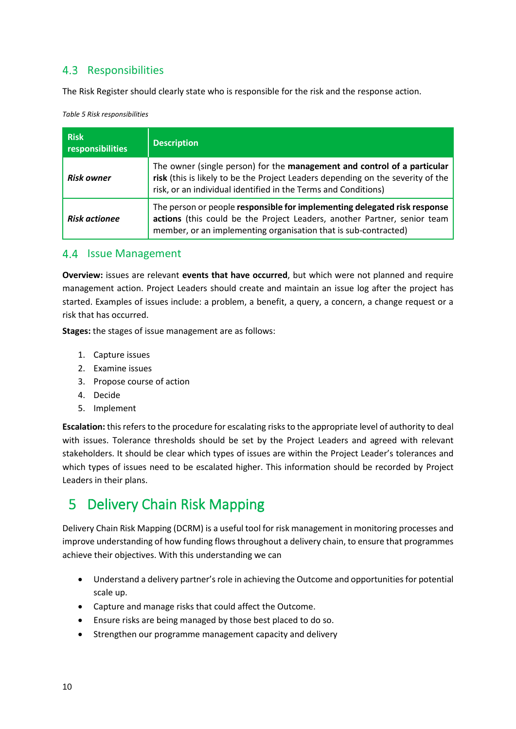## <span id="page-9-0"></span>4.3 Responsibilities

The Risk Register should clearly state who is responsible for the risk and the response action.

*Table 5 Risk responsibilities*

| <b>Risk</b><br>responsibilities | <b>Description</b>                                                                                                                                                                                                            |
|---------------------------------|-------------------------------------------------------------------------------------------------------------------------------------------------------------------------------------------------------------------------------|
| <b>Risk owner</b>               | The owner (single person) for the management and control of a particular<br>risk (this is likely to be the Project Leaders depending on the severity of the<br>risk, or an individual identified in the Terms and Conditions) |
| <b>Risk actionee</b>            | The person or people responsible for implementing delegated risk response<br>actions (this could be the Project Leaders, another Partner, senior team<br>member, or an implementing organisation that is sub-contracted)      |

#### <span id="page-9-1"></span>4.4 Issue Management

**Overview:** issues are relevant **events that have occurred**, but which were not planned and require management action. Project Leaders should create and maintain an issue log after the project has started. Examples of issues include: a problem, a benefit, a query, a concern, a change request or a risk that has occurred.

**Stages:** the stages of issue management are as follows:

- 1. Capture issues
- 2. Examine issues
- 3. Propose course of action
- 4. Decide
- 5. Implement

**Escalation:** this refers to the procedure for escalating risks to the appropriate level of authority to deal with issues. Tolerance thresholds should be set by the Project Leaders and agreed with relevant stakeholders. It should be clear which types of issues are within the Project Leader's tolerances and which types of issues need to be escalated higher. This information should be recorded by Project Leaders in their plans.

# <span id="page-9-2"></span>5 Delivery Chain Risk Mapping

Delivery Chain Risk Mapping (DCRM) is a useful tool for risk management in monitoring processes and improve understanding of how funding flows throughout a delivery chain, to ensure that programmes achieve their objectives. With this understanding we can

- Understand a delivery partner's role in achieving the Outcome and opportunities for potential scale up.
- Capture and manage risks that could affect the Outcome.
- Ensure risks are being managed by those best placed to do so.
- Strengthen our programme management capacity and delivery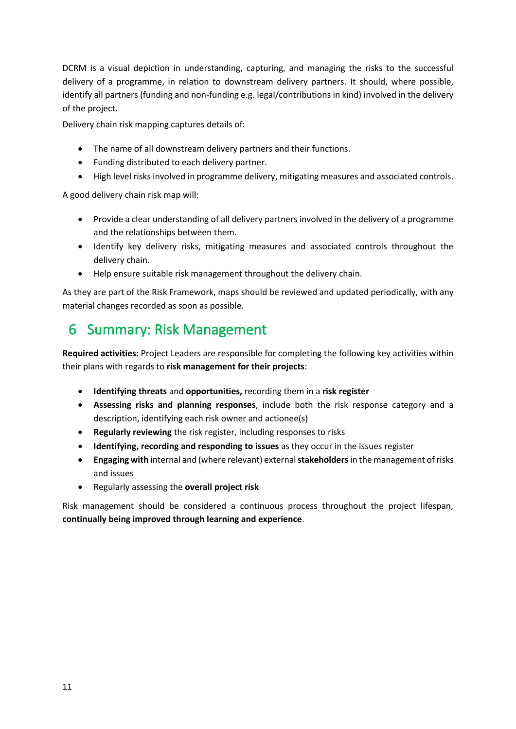DCRM is a visual depiction in understanding, capturing, and managing the risks to the successful delivery of a programme, in relation to downstream delivery partners. It should, where possible, identify all partners (funding and non-funding e.g. legal/contributions in kind) involved in the delivery of the project.

Delivery chain risk mapping captures details of:

- The name of all downstream delivery partners and their functions.
- Funding distributed to each delivery partner.
- High level risks involved in programme delivery, mitigating measures and associated controls.

A good delivery chain risk map will:

- Provide a clear understanding of all delivery partners involved in the delivery of a programme and the relationships between them.
- Identify key delivery risks, mitigating measures and associated controls throughout the delivery chain.
- Help ensure suitable risk management throughout the delivery chain.

As they are part of the Risk Framework, maps should be reviewed and updated periodically, with any material changes recorded as soon as possible.

## <span id="page-10-0"></span>6 Summary: Risk Management

**Required activities:** Project Leaders are responsible for completing the following key activities within their plans with regards to **risk management for their projects**:

- **Identifying threats** and **opportunities,** recording them in a **risk register**
- **Assessing risks and planning responses**, include both the risk response category and a description, identifying each risk owner and actionee(s)
- **Regularly reviewing** the risk register, including responses to risks
- **Identifying, recording and responding to issues** as they occur in the issues register
- **Engaging with** internal and (where relevant) external **stakeholders**in the management of risks and issues
- Regularly assessing the **overall project risk**

Risk management should be considered a continuous process throughout the project lifespan, **continually being improved through learning and experience**.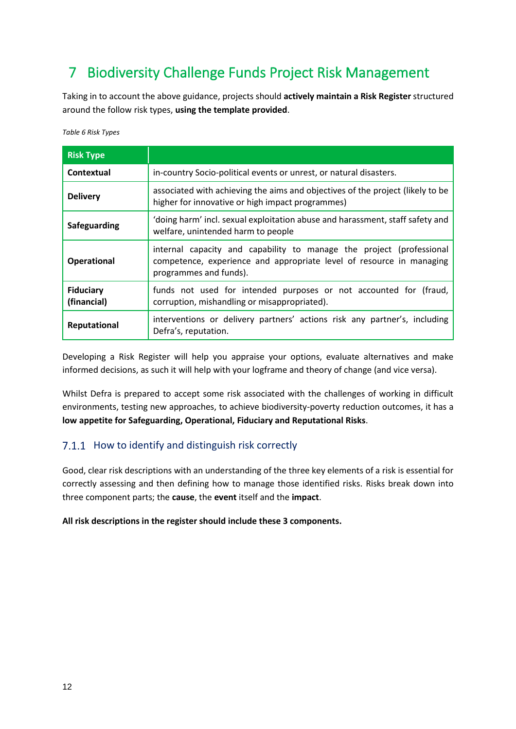# <span id="page-11-0"></span>7 Biodiversity Challenge Funds Project Risk Management

Taking in to account the above guidance, projects should **actively maintain a Risk Register** structured around the follow risk types, **using the template provided**.

*Table 6 Risk Types*

| <b>Risk Type</b>                |                                                                                                                                                                        |
|---------------------------------|------------------------------------------------------------------------------------------------------------------------------------------------------------------------|
| Contextual                      | in-country Socio-political events or unrest, or natural disasters.                                                                                                     |
| <b>Delivery</b>                 | associated with achieving the aims and objectives of the project (likely to be<br>higher for innovative or high impact programmes)                                     |
| Safeguarding                    | 'doing harm' incl. sexual exploitation abuse and harassment, staff safety and<br>welfare, unintended harm to people                                                    |
| <b>Operational</b>              | internal capacity and capability to manage the project (professional<br>competence, experience and appropriate level of resource in managing<br>programmes and funds). |
| <b>Fiduciary</b><br>(financial) | funds not used for intended purposes or not accounted for (fraud,<br>corruption, mishandling or misappropriated).                                                      |
| <b>Reputational</b>             | interventions or delivery partners' actions risk any partner's, including<br>Defra's, reputation.                                                                      |

Developing a Risk Register will help you appraise your options, evaluate alternatives and make informed decisions, as such it will help with your logframe and theory of change (and vice versa).

Whilst Defra is prepared to accept some risk associated with the challenges of working in difficult environments, testing new approaches, to achieve biodiversity-poverty reduction outcomes, it has a **low appetite for Safeguarding, Operational, Fiduciary and Reputational Risks**.

#### 7.1.1 How to identify and distinguish risk correctly

Good, clear risk descriptions with an understanding of the three key elements of a risk is essential for correctly assessing and then defining how to manage those identified risks. Risks break down into three component parts; the **cause**, the **event** itself and the **impact**.

#### **All risk descriptions in the register should include these 3 components.**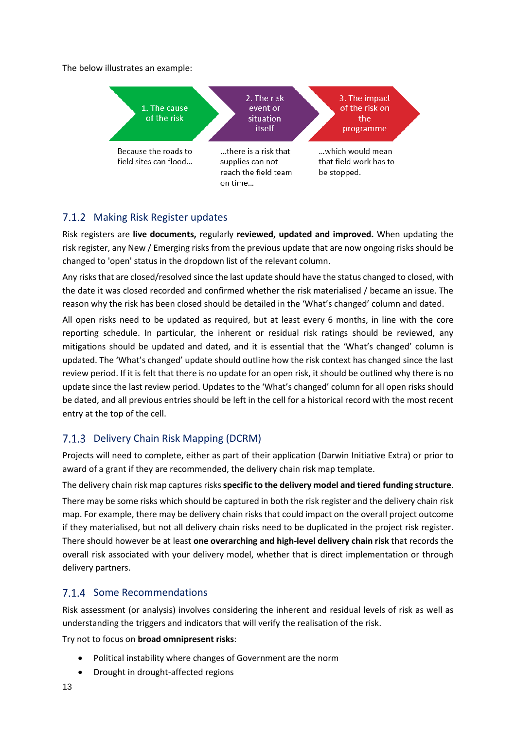The below illustrates an example:



## 7.1.2 Making Risk Register updates

Risk registers are **live documents,** regularly **reviewed, updated and improved.** When updating the risk register, any New / Emerging risks from the previous update that are now ongoing risks should be changed to 'open' status in the dropdown list of the relevant column.

Any risks that are closed/resolved since the last update should have the status changed to closed, with the date it was closed recorded and confirmed whether the risk materialised / became an issue. The reason why the risk has been closed should be detailed in the 'What's changed' column and dated.

All open risks need to be updated as required, but at least every 6 months, in line with the core reporting schedule. In particular, the inherent or residual risk ratings should be reviewed, any mitigations should be updated and dated, and it is essential that the 'What's changed' column is updated. The 'What's changed' update should outline how the risk context has changed since the last review period. If it is felt that there is no update for an open risk, it should be outlined why there is no update since the last review period. Updates to the 'What's changed' column for all open risks should be dated, and all previous entries should be left in the cell for a historical record with the most recent entry at the top of the cell.

## 7.1.3 Delivery Chain Risk Mapping (DCRM)

Projects will need to complete, either as part of their application (Darwin Initiative Extra) or prior to award of a grant if they are recommended, the delivery chain risk map template.

The delivery chain risk map captures risks **specific to the delivery model and tiered funding structure**. There may be some risks which should be captured in both the risk register and the delivery chain risk map. For example, there may be delivery chain risks that could impact on the overall project outcome if they materialised, but not all delivery chain risks need to be duplicated in the project risk register. There should however be at least **one overarching and high-level delivery chain risk** that records the overall risk associated with your delivery model, whether that is direct implementation or through delivery partners.

#### 7.1.4 Some Recommendations

Risk assessment (or analysis) involves considering the inherent and residual levels of risk as well as understanding the triggers and indicators that will verify the realisation of the risk.

Try not to focus on **broad omnipresent risks**:

- Political instability where changes of Government are the norm
- Drought in drought-affected regions